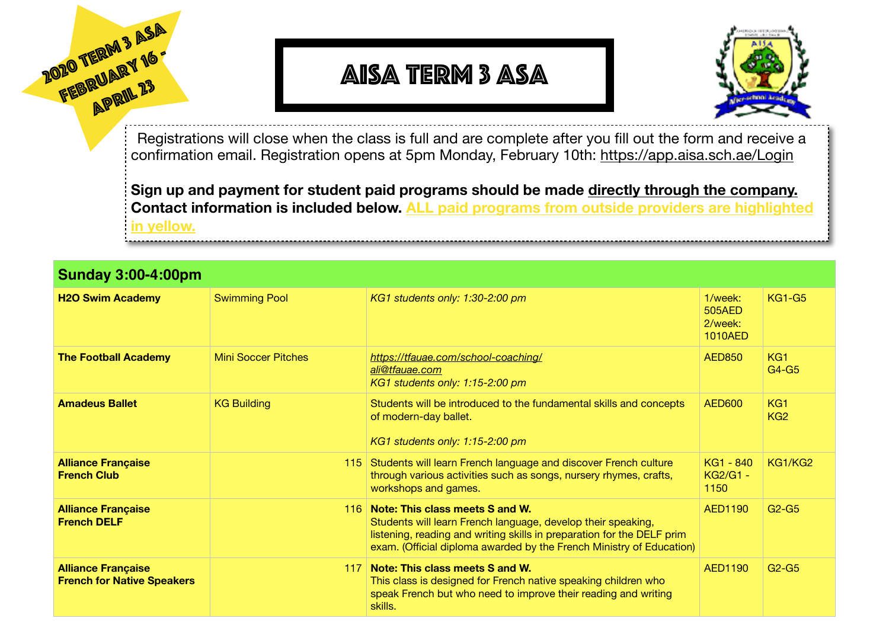



Registrations will close when the class is full and are complete after you fill out the form and receive a confirmation email. Registration opens at 5pm Monday, February 10th:<https://app.aisa.sch.ae/Login>

**Sign up and payment for student paid programs should be made directly through the company. Contact information is included below. ALL paid programs from outside providers are highlighted in yellow.** 

## **Sunday 3:00-4:00pm**

| <b>H2O Swim Academy</b>                                        | <b>Swimming Pool</b>       | KG1 students only: 1:30-2:00 pm                                                                                                                                                                                                                   | $1$ /week:<br><b>505AED</b><br>2/week:<br>1010AED | <b>KG1-G5</b>                      |
|----------------------------------------------------------------|----------------------------|---------------------------------------------------------------------------------------------------------------------------------------------------------------------------------------------------------------------------------------------------|---------------------------------------------------|------------------------------------|
| <b>The Football Academy</b>                                    | <b>Mini Soccer Pitches</b> | https://tfauae.com/school-coaching/<br>ali@tfauae.com<br>KG1 students only: 1:15-2:00 pm                                                                                                                                                          | <b>AED850</b>                                     | KG <sub>1</sub><br>G4-G5           |
| <b>Amadeus Ballet</b>                                          | <b>KG Building</b>         | Students will be introduced to the fundamental skills and concepts<br>of modern-day ballet.<br>KG1 students only: 1:15-2:00 pm                                                                                                                    | <b>AED600</b>                                     | KG <sub>1</sub><br>KG <sub>2</sub> |
| <b>Alliance Française</b><br><b>French Club</b>                | 115                        | Students will learn French language and discover French culture<br>through various activities such as songs, nursery rhymes, crafts,<br>workshops and games.                                                                                      | KG1 - 840<br>KG2/G1 -<br>1150                     | KG1/KG2                            |
| <b>Alliance Française</b><br><b>French DELF</b>                | 116.                       | Note: This class meets S and W.<br>Students will learn French language, develop their speaking,<br>listening, reading and writing skills in preparation for the DELF prim<br>exam. (Official diploma awarded by the French Ministry of Education) | <b>AED1190</b>                                    | $G2-G5$                            |
| <b>Alliance Française</b><br><b>French for Native Speakers</b> | 117                        | Note: This class meets S and W.<br>This class is designed for French native speaking children who<br>speak French but who need to improve their reading and writing<br>skills.                                                                    | <b>AED1190</b>                                    | $G2-G5$                            |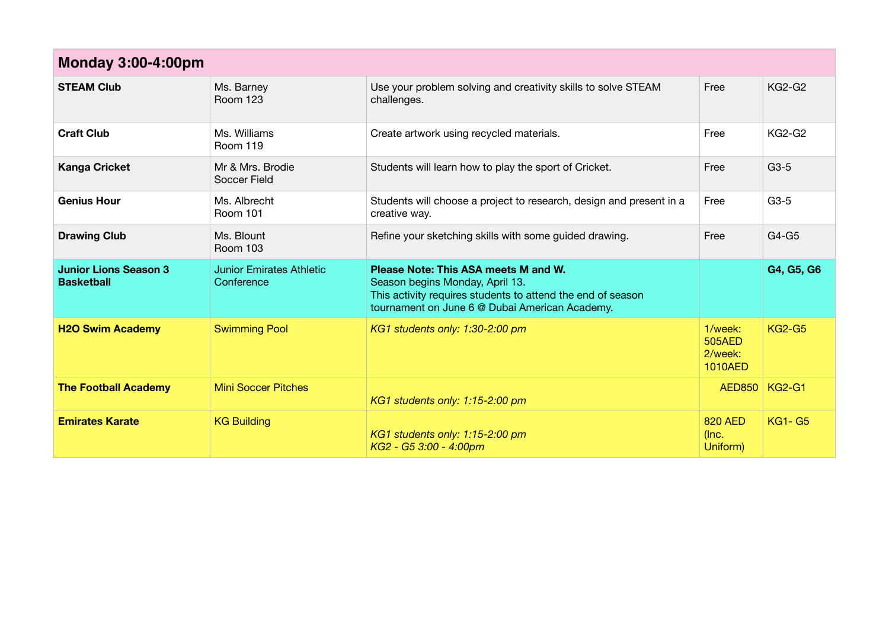| <b>Monday 3:00-4:00pm</b>                         |                                               |                                                                                                                                                                                          |                                                |               |
|---------------------------------------------------|-----------------------------------------------|------------------------------------------------------------------------------------------------------------------------------------------------------------------------------------------|------------------------------------------------|---------------|
| <b>STEAM Club</b>                                 | Ms. Barney<br><b>Room 123</b>                 | Use your problem solving and creativity skills to solve STEAM<br>challenges.                                                                                                             | Free                                           | <b>KG2-G2</b> |
| <b>Craft Club</b>                                 | Ms. Williams<br>Room 119                      | Create artwork using recycled materials.                                                                                                                                                 | Free                                           | <b>KG2-G2</b> |
| <b>Kanga Cricket</b>                              | Mr & Mrs. Brodie<br><b>Soccer Field</b>       | Students will learn how to play the sport of Cricket.                                                                                                                                    | Free                                           | $G3-5$        |
| <b>Genius Hour</b>                                | Ms. Albrecht<br>Room 101                      | Students will choose a project to research, design and present in a<br>creative way.                                                                                                     | Free                                           | $G3-5$        |
| <b>Drawing Club</b>                               | Ms. Blount<br>Room 103                        | Refine your sketching skills with some guided drawing.                                                                                                                                   | Free                                           | G4-G5         |
| <b>Junior Lions Season 3</b><br><b>Basketball</b> | <b>Junior Emirates Athletic</b><br>Conference | Please Note: This ASA meets M and W.<br>Season begins Monday, April 13.<br>This activity requires students to attend the end of season<br>tournament on June 6 @ Dubai American Academy. |                                                | G4, G5, G6    |
| <b>H2O Swim Academy</b>                           | <b>Swimming Pool</b>                          | KG1 students only: 1:30-2:00 pm                                                                                                                                                          | 1/week:<br><b>505AED</b><br>2/week:<br>1010AED | <b>KG2-G5</b> |
| <b>The Football Academy</b>                       | <b>Mini Soccer Pitches</b>                    | KG1 students only: 1:15-2:00 pm                                                                                                                                                          |                                                | AED850 KG2-G1 |
| <b>Emirates Karate</b>                            | <b>KG Building</b>                            | KG1 students only: 1:15-2:00 pm<br>KG2 - G5 3:00 - 4:00pm                                                                                                                                | 820 AED<br>(Inc.<br>Uniform)                   | <b>KG1-G5</b> |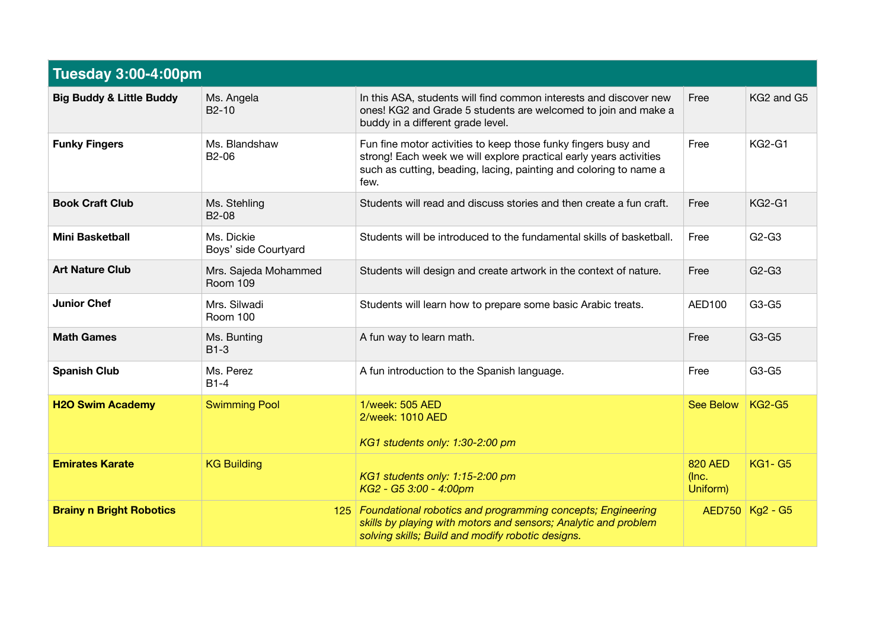| <b>Tuesday 3:00-4:00pm</b>          |                                    |                                                                                                                                                                                                                   |                                     |                                    |  |
|-------------------------------------|------------------------------------|-------------------------------------------------------------------------------------------------------------------------------------------------------------------------------------------------------------------|-------------------------------------|------------------------------------|--|
| <b>Big Buddy &amp; Little Buddy</b> | Ms. Angela<br>B <sub>2</sub> -10   | In this ASA, students will find common interests and discover new<br>ones! KG2 and Grade 5 students are welcomed to join and make a<br>buddy in a different grade level.                                          | Free                                | KG <sub>2</sub> and G <sub>5</sub> |  |
| <b>Funky Fingers</b>                | Ms. Blandshaw<br>B2-06             | Fun fine motor activities to keep those funky fingers busy and<br>strong! Each week we will explore practical early years activities<br>such as cutting, beading, lacing, painting and coloring to name a<br>few. | Free                                | <b>KG2-G1</b>                      |  |
| <b>Book Craft Club</b>              | Ms. Stehling<br>B2-08              | Students will read and discuss stories and then create a fun craft.                                                                                                                                               | Free                                | <b>KG2-G1</b>                      |  |
| <b>Mini Basketball</b>              | Ms. Dickie<br>Boys' side Courtyard | Students will be introduced to the fundamental skills of basketball.                                                                                                                                              | Free                                | $G2-G3$                            |  |
| <b>Art Nature Club</b>              | Mrs. Sajeda Mohammed<br>Room 109   | Students will design and create artwork in the context of nature.                                                                                                                                                 | Free                                | $G2-G3$                            |  |
| <b>Junior Chef</b>                  | Mrs. Silwadi<br>Room 100           | Students will learn how to prepare some basic Arabic treats.                                                                                                                                                      | AED100                              | $G3-G5$                            |  |
| <b>Math Games</b>                   | Ms. Bunting<br>$B1-3$              | A fun way to learn math.                                                                                                                                                                                          | Free                                | $G3-G5$                            |  |
| <b>Spanish Club</b>                 | Ms. Perez<br>$B1-4$                | A fun introduction to the Spanish language.                                                                                                                                                                       | Free                                | G3-G5                              |  |
| <b>H2O Swim Academy</b>             | <b>Swimming Pool</b>               | 1/week: 505 AED<br>2/week: 1010 AED<br>KG1 students only: 1:30-2:00 pm                                                                                                                                            | See Below                           | $KG2-G5$                           |  |
| <b>Emirates Karate</b>              | <b>KG Building</b>                 | KG1 students only: 1:15-2:00 pm<br>KG2 - G5 3:00 - 4:00pm                                                                                                                                                         | <b>820 AED</b><br>(Inc.<br>Uniform) | <b>KG1-G5</b>                      |  |
| <b>Brainy n Bright Robotics</b>     |                                    | 125 Foundational robotics and programming concepts; Engineering<br>skills by playing with motors and sensors; Analytic and problem<br>solving skills; Build and modify robotic designs.                           |                                     | AED750   Kg2 - G5                  |  |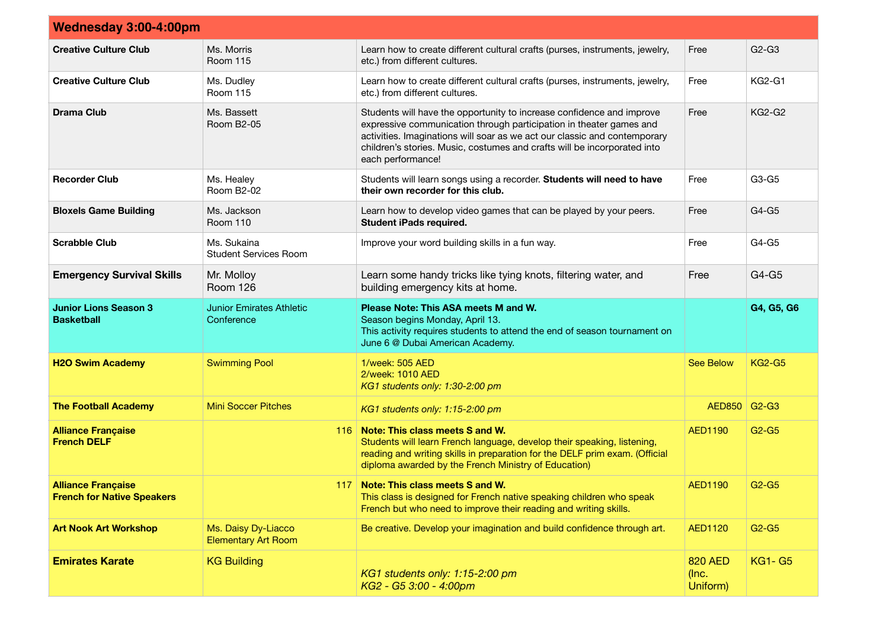| <b>Wednesday 3:00-4:00pm</b>                                   |                                                   |                                                                                                                                                                                                                                                                                                                            |                                     |                                |  |
|----------------------------------------------------------------|---------------------------------------------------|----------------------------------------------------------------------------------------------------------------------------------------------------------------------------------------------------------------------------------------------------------------------------------------------------------------------------|-------------------------------------|--------------------------------|--|
| <b>Creative Culture Club</b>                                   | Ms. Morris<br><b>Room 115</b>                     | Learn how to create different cultural crafts (purses, instruments, jewelry,<br>etc.) from different cultures.                                                                                                                                                                                                             | Free                                | $G2-G3$                        |  |
| <b>Creative Culture Club</b>                                   | Ms. Dudley<br><b>Room 115</b>                     | Learn how to create different cultural crafts (purses, instruments, jewelry,<br>etc.) from different cultures.                                                                                                                                                                                                             | Free                                | <b>KG2-G1</b>                  |  |
| <b>Drama Club</b>                                              | Ms. Bassett<br><b>Room B2-05</b>                  | Students will have the opportunity to increase confidence and improve<br>expressive communication through participation in theater games and<br>activities. Imaginations will soar as we act our classic and contemporary<br>children's stories. Music, costumes and crafts will be incorporated into<br>each performance! | Free                                | <b>KG2-G2</b>                  |  |
| <b>Recorder Club</b>                                           | Ms. Healey<br>Room B2-02                          | Students will learn songs using a recorder. Students will need to have<br>their own recorder for this club.                                                                                                                                                                                                                | Free                                | G3-G5                          |  |
| <b>Bloxels Game Building</b>                                   | Ms. Jackson<br>Room 110                           | Learn how to develop video games that can be played by your peers.<br>Student iPads required.                                                                                                                                                                                                                              | Free                                | G4-G5                          |  |
| <b>Scrabble Club</b>                                           | Ms. Sukaina<br><b>Student Services Room</b>       | Improve your word building skills in a fun way.                                                                                                                                                                                                                                                                            | Free                                | G4-G5                          |  |
| <b>Emergency Survival Skills</b>                               | Mr. Molloy<br>Room 126                            | Learn some handy tricks like tying knots, filtering water, and<br>building emergency kits at home.                                                                                                                                                                                                                         | Free                                | G4-G5                          |  |
| <b>Junior Lions Season 3</b><br><b>Basketball</b>              | <b>Junior Emirates Athletic</b><br>Conference     | Please Note: This ASA meets M and W.<br>Season begins Monday, April 13.<br>This activity requires students to attend the end of season tournament on<br>June 6 @ Dubai American Academy.                                                                                                                                   |                                     | G4, G5, G6                     |  |
| <b>H2O Swim Academy</b>                                        | <b>Swimming Pool</b>                              | 1/week: 505 AED<br>2/week: 1010 AED<br>KG1 students only: 1:30-2:00 pm                                                                                                                                                                                                                                                     | <b>See Below</b>                    | <b>KG2-G5</b>                  |  |
| <b>The Football Academy</b>                                    | <b>Mini Soccer Pitches</b>                        | KG1 students only: 1:15-2:00 pm                                                                                                                                                                                                                                                                                            | AED850 G2-G3                        |                                |  |
| <b>Alliance Française</b><br><b>French DELF</b>                | 116 I                                             | Note: This class meets S and W.<br>Students will learn French language, develop their speaking, listening,<br>reading and writing skills in preparation for the DELF prim exam. (Official<br>diploma awarded by the French Ministry of Education)                                                                          | <b>AED1190</b>                      | $G2-G5$                        |  |
| <b>Alliance Francaise</b><br><b>French for Native Speakers</b> |                                                   | 117 Note: This class meets S and W.<br>This class is designed for French native speaking children who speak<br>French but who need to improve their reading and writing skills.                                                                                                                                            | AED1190                             | $G2-G5$                        |  |
| <b>Art Nook Art Workshop</b>                                   | Ms. Daisy Dy-Liacco<br><b>Elementary Art Room</b> | Be creative. Develop your imagination and build confidence through art.                                                                                                                                                                                                                                                    | <b>AED1120</b>                      | G <sub>2</sub> -G <sub>5</sub> |  |
| <b>Emirates Karate</b>                                         | <b>KG Building</b>                                | KG1 students only: 1:15-2:00 pm<br>KG2 - G5 3:00 - 4:00pm                                                                                                                                                                                                                                                                  | <b>820 AED</b><br>(Inc.<br>Uniform) | <b>KG1-G5</b>                  |  |